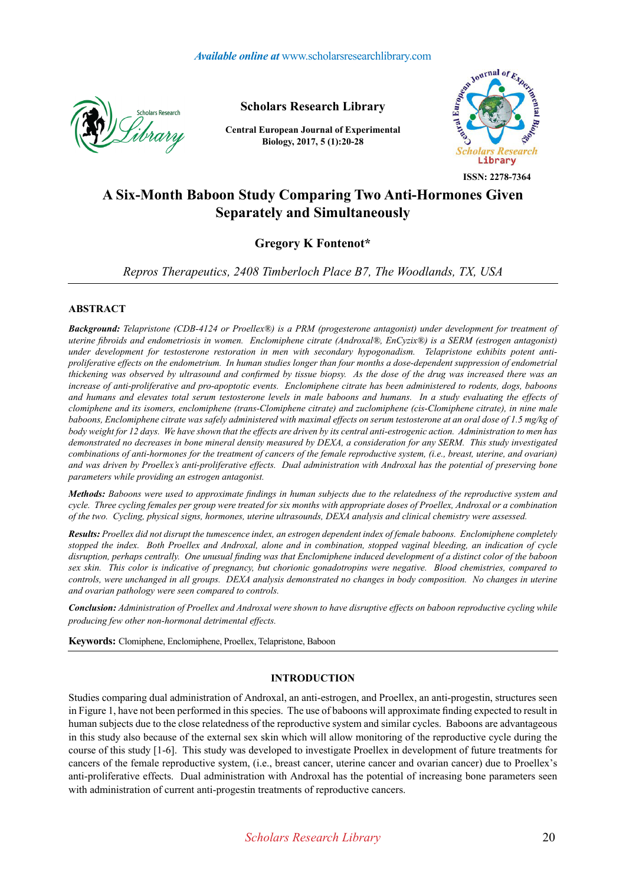

**Scholars Research Library**

**Central European Journal of Experimental Biology, 2017, 5 (1):20-28**



**ISSN: 2278-7364**

# **A Six-Month Baboon Study Comparing Two Anti-Hormones Given Separately and Simultaneously**

# **Gregory K Fontenot\***

*Repros Therapeutics, 2408 Timberloch Place B7, The Woodlands, TX, USA*

### **ABSTRACT**

*Background: Telapristone (CDB-4124 or Proellex®) is a PRM (progesterone antagonist) under development for treatment of uterine fibroids and endometriosis in women. Enclomiphene citrate (Androxal®, EnCyzix®) is a SERM (estrogen antagonist) under development for testosterone restoration in men with secondary hypogonadism. Telapristone exhibits potent antiproliferative effects on the endometrium. In human studies longer than four months a dose-dependent suppression of endometrial thickening was observed by ultrasound and confirmed by tissue biopsy. As the dose of the drug was increased there was an increase of anti-proliferative and pro-apoptotic events. Enclomiphene citrate has been administered to rodents, dogs, baboons and humans and elevates total serum testosterone levels in male baboons and humans. In a study evaluating the effects of clomiphene and its isomers, enclomiphene (trans-Clomiphene citrate) and zuclomiphene (cis-Clomiphene citrate), in nine male*  baboons, Enclomiphene citrate was safely administered with maximal effects on serum testosterone at an oral dose of 1.5 mg/kg of *body weight for 12 days. We have shown that the effects are driven by its central anti-estrogenic action. Administration to men has demonstrated no decreases in bone mineral density measured by DEXA, a consideration for any SERM. This study investigated combinations of anti-hormones for the treatment of cancers of the female reproductive system, (i.e., breast, uterine, and ovarian) and was driven by Proellex's anti-proliferative effects. Dual administration with Androxal has the potential of preserving bone parameters while providing an estrogen antagonist.* 

*Methods: Baboons were used to approximate findings in human subjects due to the relatedness of the reproductive system and cycle. Three cycling females per group were treated for six months with appropriate doses of Proellex, Androxal or a combination of the two. Cycling, physical signs, hormones, uterine ultrasounds, DEXA analysis and clinical chemistry were assessed.*

*Results: Proellex did not disrupt the tumescence index, an estrogen dependent index of female baboons. Enclomiphene completely stopped the index. Both Proellex and Androxal, alone and in combination, stopped vaginal bleeding, an indication of cycle disruption, perhaps centrally. One unusual finding was that Enclomiphene induced development of a distinct color of the baboon sex skin. This color is indicative of pregnancy, but chorionic gonadotropins were negative. Blood chemistries, compared to controls, were unchanged in all groups. DEXA analysis demonstrated no changes in body composition. No changes in uterine and ovarian pathology were seen compared to controls.*

*Conclusion: Administration of Proellex and Androxal were shown to have disruptive effects on baboon reproductive cycling while producing few other non-hormonal detrimental effects.*

**Keywords:** Clomiphene, Enclomiphene, Proellex, Telapristone, Baboon

#### **INTRODUCTION**

Studies comparing dual administration of Androxal, an anti-estrogen, and Proellex, an anti-progestin, structures seen in Figure 1, have not been performed in this species. The use of baboons will approximate finding expected to result in human subjects due to the close relatedness of the reproductive system and similar cycles. Baboons are advantageous in this study also because of the external sex skin which will allow monitoring of the reproductive cycle during the course of this study [1-6]. This study was developed to investigate Proellex in development of future treatments for cancers of the female reproductive system, (i.e., breast cancer, uterine cancer and ovarian cancer) due to Proellex's anti-proliferative effects. Dual administration with Androxal has the potential of increasing bone parameters seen with administration of current anti-progestin treatments of reproductive cancers.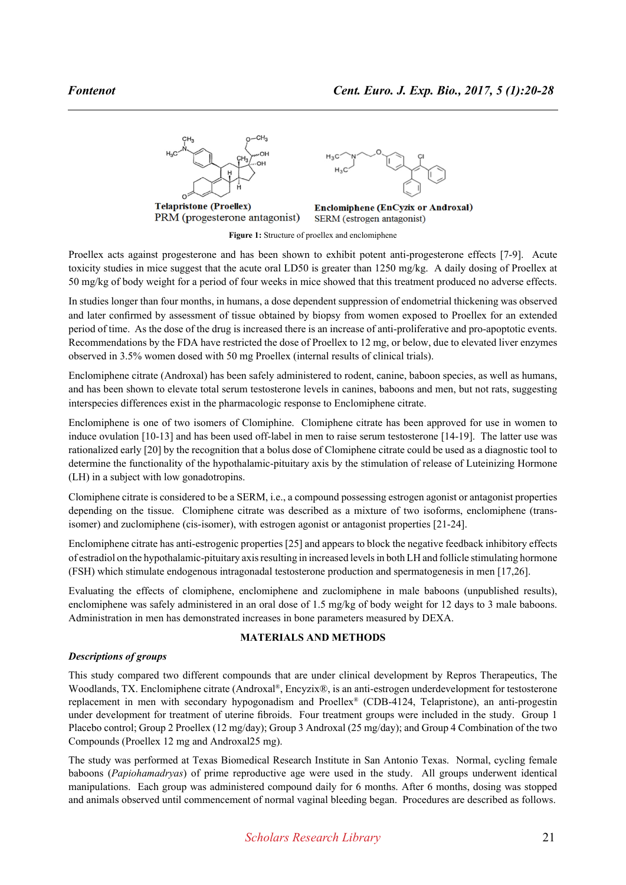

**Figure 1:** Structure of proellex and enclomiphene

Proellex acts against progesterone and has been shown to exhibit potent anti-progesterone effects [7-9]. Acute toxicity studies in mice suggest that the acute oral LD50 is greater than 1250 mg/kg. A daily dosing of Proellex at 50 mg/kg of body weight for a period of four weeks in mice showed that this treatment produced no adverse effects.

In studies longer than four months, in humans, a dose dependent suppression of endometrial thickening was observed and later confirmed by assessment of tissue obtained by biopsy from women exposed to Proellex for an extended period of time. As the dose of the drug is increased there is an increase of anti-proliferative and pro-apoptotic events. Recommendations by the FDA have restricted the dose of Proellex to 12 mg, or below, due to elevated liver enzymes observed in 3.5% women dosed with 50 mg Proellex (internal results of clinical trials).

Enclomiphene citrate (Androxal) has been safely administered to rodent, canine, baboon species, as well as humans, and has been shown to elevate total serum testosterone levels in canines, baboons and men, but not rats, suggesting interspecies differences exist in the pharmacologic response to Enclomiphene citrate.

Enclomiphene is one of two isomers of Clomiphine. Clomiphene citrate has been approved for use in women to induce ovulation [10-13] and has been used off-label in men to raise serum testosterone [14-19]. The latter use was rationalized early [20] by the recognition that a bolus dose of Clomiphene citrate could be used as a diagnostic tool to determine the functionality of the hypothalamic-pituitary axis by the stimulation of release of Luteinizing Hormone (LH) in a subject with low gonadotropins.

Clomiphene citrate is considered to be a SERM, i.e., a compound possessing estrogen agonist or antagonist properties depending on the tissue. Clomiphene citrate was described as a mixture of two isoforms, enclomiphene (transisomer) and zuclomiphene (cis-isomer), with estrogen agonist or antagonist properties [21-24].

Enclomiphene citrate has anti-estrogenic properties [25] and appears to block the negative feedback inhibitory effects of estradiol on the hypothalamic-pituitary axis resulting in increased levels in both LH and follicle stimulating hormone (FSH) which stimulate endogenous intragonadal testosterone production and spermatogenesis in men [17,26].

Evaluating the effects of clomiphene, enclomiphene and zuclomiphene in male baboons (unpublished results), enclomiphene was safely administered in an oral dose of 1.5 mg/kg of body weight for 12 days to 3 male baboons. Administration in men has demonstrated increases in bone parameters measured by DEXA.

# **MATERIALS AND METHODS**

# *Descriptions of groups*

This study compared two different compounds that are under clinical development by Repros Therapeutics, The Woodlands, TX. Enclomiphene citrate (Androxal®, Encyzix®, is an anti-estrogen underdevelopment for testosterone replacement in men with secondary hypogonadism and Proellex® (CDB-4124, Telapristone), an anti-progestin under development for treatment of uterine fibroids. Four treatment groups were included in the study. Group 1 Placebo control; Group 2 Proellex (12 mg/day); Group 3 Androxal (25 mg/day); and Group 4 Combination of the two Compounds (Proellex 12 mg and Androxal25 mg).

The study was performed at Texas Biomedical Research Institute in San Antonio Texas. Normal, cycling female baboons (*Papiohamadryas*) of prime reproductive age were used in the study. All groups underwent identical manipulations. Each group was administered compound daily for 6 months. After 6 months, dosing was stopped and animals observed until commencement of normal vaginal bleeding began. Procedures are described as follows.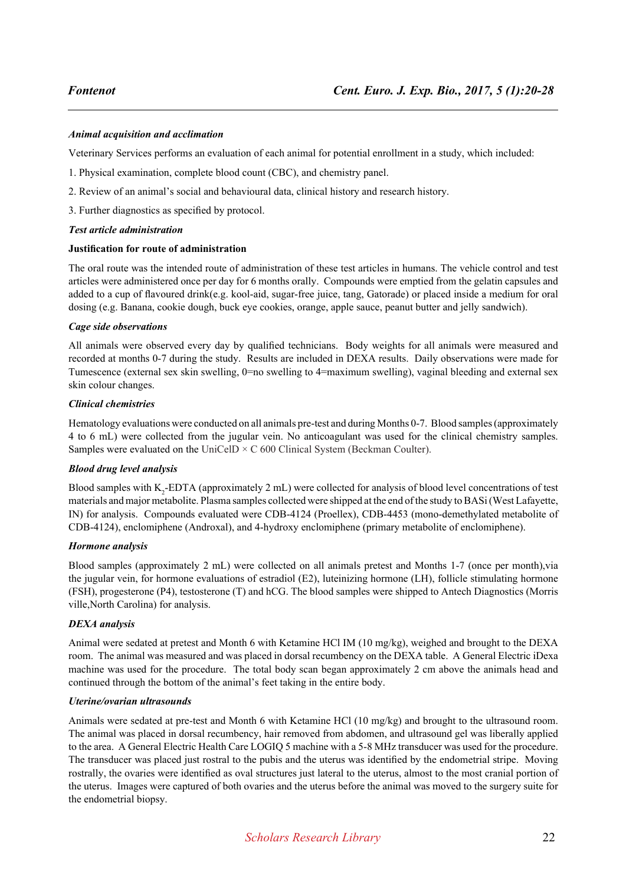#### *Animal acquisition and acclimation*

Veterinary Services performs an evaluation of each animal for potential enrollment in a study, which included:

- 1. Physical examination, complete blood count (CBC), and chemistry panel.
- 2. Review of an animal's social and behavioural data, clinical history and research history.
- 3. Further diagnostics as specified by protocol.

#### *Test article administration*

### **Justification for route of administration**

The oral route was the intended route of administration of these test articles in humans. The vehicle control and test articles were administered once per day for 6 months orally. Compounds were emptied from the gelatin capsules and added to a cup of flavoured drink(e.g. kool-aid, sugar-free juice, tang, Gatorade) or placed inside a medium for oral dosing (e.g. Banana, cookie dough, buck eye cookies, orange, apple sauce, peanut butter and jelly sandwich).

### *Cage side observations*

All animals were observed every day by qualified technicians. Body weights for all animals were measured and recorded at months 0-7 during the study. Results are included in DEXA results. Daily observations were made for Tumescence (external sex skin swelling, 0=no swelling to 4=maximum swelling), vaginal bleeding and external sex skin colour changes.

### *Clinical chemistries*

Hematology evaluations were conducted on all animals pre-test and during Months 0-7. Blood samples (approximately 4 to 6 mL) were collected from the jugular vein. No anticoagulant was used for the clinical chemistry samples. Samples were evaluated on the UniCelD  $\times$  C 600 Clinical System (Beckman Coulter).

# *Blood drug level analysis*

Blood samples with  $K_2$ -EDTA (approximately 2 mL) were collected for analysis of blood level concentrations of test materials and major metabolite. Plasma samples collected were shipped at the end of the study to BASi (West Lafayette, IN) for analysis. Compounds evaluated were CDB-4124 (Proellex), CDB-4453 (mono-demethylated metabolite of CDB-4124), enclomiphene (Androxal), and 4-hydroxy enclomiphene (primary metabolite of enclomiphene).

#### *Hormone analysis*

Blood samples (approximately 2 mL) were collected on all animals pretest and Months 1-7 (once per month),via the jugular vein, for hormone evaluations of estradiol (E2), luteinizing hormone (LH), follicle stimulating hormone (FSH), progesterone (P4), testosterone (T) and hCG. The blood samples were shipped to Antech Diagnostics (Morris ville,North Carolina) for analysis.

# *DEXA analysis*

Animal were sedated at pretest and Month 6 with Ketamine HCl IM (10 mg/kg), weighed and brought to the DEXA room. The animal was measured and was placed in dorsal recumbency on the DEXA table. A General Electric iDexa machine was used for the procedure. The total body scan began approximately 2 cm above the animals head and continued through the bottom of the animal's feet taking in the entire body.

#### *Uterine/ovarian ultrasounds*

Animals were sedated at pre-test and Month 6 with Ketamine HCl (10 mg/kg) and brought to the ultrasound room. The animal was placed in dorsal recumbency, hair removed from abdomen, and ultrasound gel was liberally applied to the area. A General Electric Health Care LOGIQ 5 machine with a 5-8 MHz transducer was used for the procedure. The transducer was placed just rostral to the pubis and the uterus was identified by the endometrial stripe. Moving rostrally, the ovaries were identified as oval structures just lateral to the uterus, almost to the most cranial portion of the uterus. Images were captured of both ovaries and the uterus before the animal was moved to the surgery suite for the endometrial biopsy.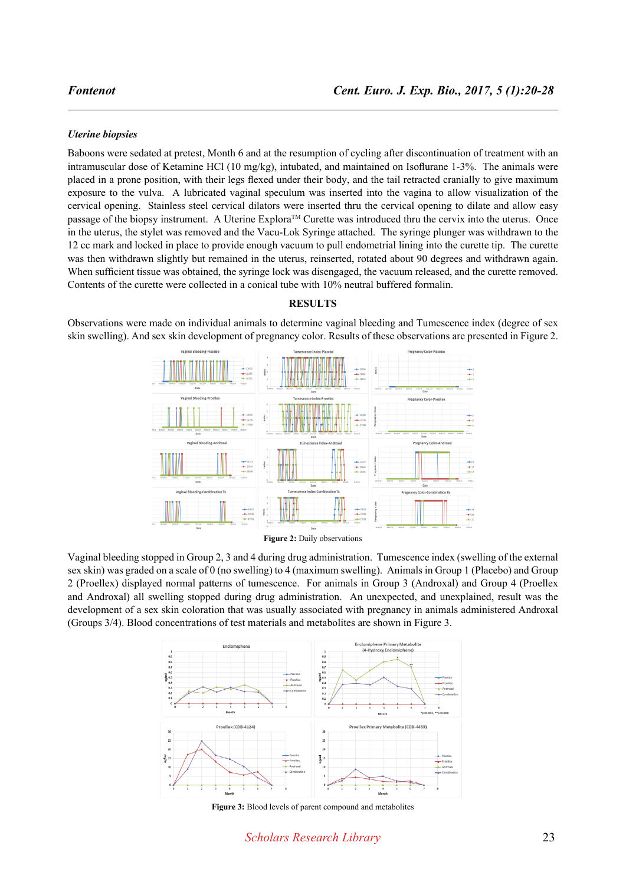#### *Uterine biopsies*

Baboons were sedated at pretest, Month 6 and at the resumption of cycling after discontinuation of treatment with an intramuscular dose of Ketamine HCl (10 mg/kg), intubated, and maintained on Isoflurane 1-3%. The animals were placed in a prone position, with their legs flexed under their body, and the tail retracted cranially to give maximum exposure to the vulva. A lubricated vaginal speculum was inserted into the vagina to allow visualization of the cervical opening. Stainless steel cervical dilators were inserted thru the cervical opening to dilate and allow easy passage of the biopsy instrument. A Uterine Explora™ Curette was introduced thru the cervix into the uterus. Once in the uterus, the stylet was removed and the Vacu-Lok Syringe attached. The syringe plunger was withdrawn to the 12 cc mark and locked in place to provide enough vacuum to pull endometrial lining into the curette tip. The curette was then withdrawn slightly but remained in the uterus, reinserted, rotated about 90 degrees and withdrawn again. When sufficient tissue was obtained, the syringe lock was disengaged, the vacuum released, and the curette removed. Contents of the curette were collected in a conical tube with 10% neutral buffered formalin.

#### **RESULTS**

Observations were made on individual animals to determine vaginal bleeding and Tumescence index (degree of sex skin swelling). And sex skin development of pregnancy color. Results of these observations are presented in Figure 2.



**Figure 2: Daily observations** 

Vaginal bleeding stopped in Group 2, 3 and 4 during drug administration. Tumescence index (swelling of the external sex skin) was graded on a scale of 0 (no swelling) to 4 (maximum swelling). Animals in Group 1 (Placebo) and Group 2 (Proellex) displayed normal patterns of tumescence. For animals in Group 3 (Androxal) and Group 4 (Proellex and Androxal) all swelling stopped during drug administration. An unexpected, and unexplained, result was the development of a sex skin coloration that was usually associated with pregnancy in animals administered Androxal (Groups 3/4). Blood concentrations of test materials and metabolites are shown in Figure 3.



**Figure 3:** Blood levels of parent compound and metabolites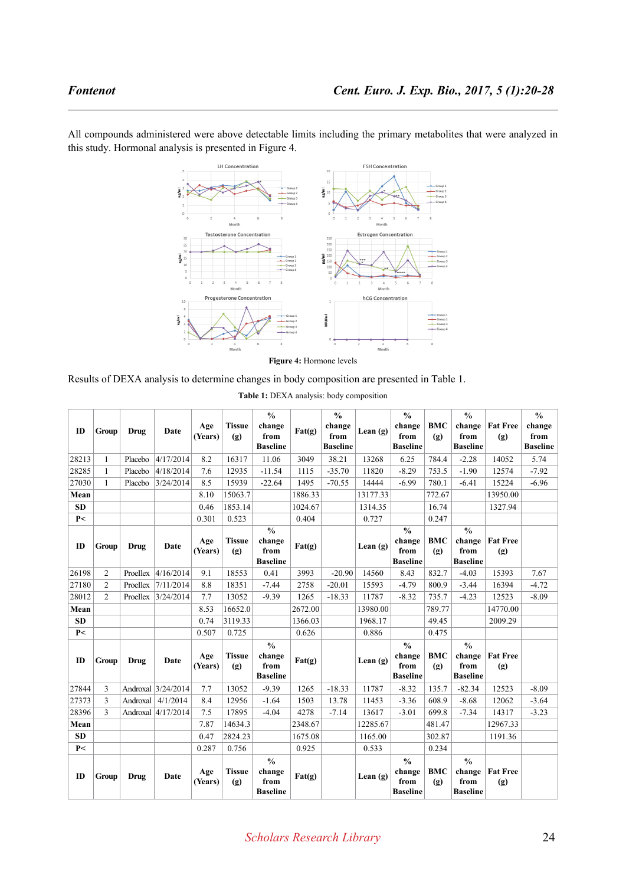

All compounds administered were above detectable limits including the primary metabolites that were analyzed in this study. Hormonal analysis is presented in Figure 4.

**Figure 4:** Hormone levels

Results of DEXA analysis to determine changes in body composition are presented in Table 1.

|           |                |             |                       |                |                      | $\frac{0}{0}$                                      |         | $\frac{0}{0}$   |            | $\frac{0}{0}$                                      |                   | $\frac{0}{0}$                                      |                        | $\frac{0}{0}$   |
|-----------|----------------|-------------|-----------------------|----------------|----------------------|----------------------------------------------------|---------|-----------------|------------|----------------------------------------------------|-------------------|----------------------------------------------------|------------------------|-----------------|
| ID        | Group          | <b>Drug</b> | Date                  | Age<br>(Years) | <b>Tissue</b><br>(g) | change<br>from                                     | Fat(g)  | change<br>from  | Lean $(g)$ | change<br>from                                     | <b>BMC</b><br>(g) | change<br>from                                     | <b>Fat Free</b><br>(g) | change<br>from  |
|           |                |             |                       |                |                      | <b>Baseline</b>                                    |         | <b>Baseline</b> |            | <b>Baseline</b>                                    |                   | <b>Baseline</b>                                    |                        | <b>Baseline</b> |
| 28213     | 1              | Placebo     | 4/17/2014             | 8.2            | 16317                | 11.06                                              | 3049    | 38.21           | 13268      | 6.25                                               | 784.4             | $-2.28$                                            | 14052                  | 5.74            |
| 28285     | $\mathbf{1}$   | Placebo     | 4/18/2014             | 7.6            | 12935                | $-11.54$                                           | 1115    | $-35.70$        | 11820      | $-8.29$                                            | 753.5             | $-1.90$                                            | 12574                  | $-7.92$         |
| 27030     | $\mathbf{1}$   | Placebo     | 3/24/2014             | 8.5            | 15939                | $-22.64$                                           | 1495    | $-70.55$        | 14444      | $-6.99$                                            | 780.1             | $-6.41$                                            | 15224                  | $-6.96$         |
| Mean      |                |             |                       | 8.10           | 15063.7              |                                                    | 1886.33 |                 | 13177.33   |                                                    | 772.67            |                                                    | 13950.00               |                 |
| <b>SD</b> |                |             |                       | 0.46           | 1853.14              |                                                    | 1024.67 |                 | 1314.35    |                                                    | 16.74             |                                                    | 1327.94                |                 |
| P<        |                |             |                       | 0.301          | 0.523                |                                                    | 0.404   |                 | 0.727      |                                                    | 0.247             |                                                    |                        |                 |
| ID        | Group          | <b>Drug</b> | Date                  | Age<br>(Years) | <b>Tissue</b><br>(g) | $\frac{0}{0}$<br>change<br>from<br><b>Baseline</b> | Fat(g)  |                 | Lean $(g)$ | $\frac{0}{0}$<br>change<br>from<br><b>Baseline</b> | <b>BMC</b><br>(g) | $\frac{0}{0}$<br>change<br>from<br><b>Baseline</b> | <b>Fat Free</b><br>(g) |                 |
| 26198     | 2              |             | Proellex $ 4/16/2014$ | 9.1            | 18553                | 0.41                                               | 3993    | $-20.90$        | 14560      | 8.43                                               | 832.7             | $-4.03$                                            | 15393                  | 7.67            |
| 27180     | 2              | ProeIlex    | 7/11/2014             | 8.8            | 18351                | $-7.44$                                            | 2758    | $-20.01$        | 15593      | $-4.79$                                            | 800.9             | $-3.44$                                            | 16394                  | $-4.72$         |
| 28012     | $\overline{c}$ |             | Proellex $3/24/2014$  | 7.7            | 13052                | $-9.39$                                            | 1265    | $-18.33$        | 11787      | $-8.32$                                            | 735.7             | $-4.23$                                            | 12523                  | $-8.09$         |
| Mean      |                |             |                       | 8.53           | 16652.0              |                                                    | 2672.00 |                 | 13980.00   |                                                    | 789.77            |                                                    | 14770.00               |                 |
| <b>SD</b> |                |             |                       | 0.74           | 3119.33              |                                                    | 1366.03 |                 | 1968.17    |                                                    | 49.45             |                                                    | 2009.29                |                 |
| P<        |                |             |                       | 0.507          | 0.725                |                                                    | 0.626   |                 | 0.886      |                                                    | 0.475             |                                                    |                        |                 |
| ID        | Group          | <b>Drug</b> | Date                  | Age<br>(Years) | <b>Tissue</b><br>(g) | $\frac{0}{0}$<br>change<br>from<br><b>Baseline</b> | Fat(g)  |                 | Lean $(g)$ | $\frac{0}{0}$<br>change<br>from<br><b>Baseline</b> | <b>BMC</b><br>(g) | $\frac{0}{0}$<br>change<br>from<br><b>Baseline</b> | <b>Fat Free</b><br>(g) |                 |
| 27844     | 3              |             | Androxal 3/24/2014    | 7.7            | 13052                | $-9.39$                                            | 1265    | $-18.33$        | 11787      | $-8.32$                                            | 135.7             | $-82.34$                                           | 12523                  | $-8.09$         |
| 27373     | 3              | Androxal    | 4/1/2014              | 8.4            | 12956                | $-1.64$                                            | 1503    | 13.78           | 11453      | $-3.36$                                            | 608.9             | $-8.68$                                            | 12062                  | $-3.64$         |
| 28396     | 3              |             | Androxal 4/17/2014    | 7.5            | 17895                | $-4.04$                                            | 4278    | $-7.14$         | 13617      | $-3.01$                                            | 699.8             | $-7.34$                                            | 14317                  | $-3.23$         |
| Mean      |                |             |                       | 7.87           | 14634.3              |                                                    | 2348.67 |                 | 12285.67   |                                                    | 481.47            |                                                    | 12967.33               |                 |
| <b>SD</b> |                |             |                       | 0.47           | 2824.23              |                                                    | 1675.08 |                 | 1165.00    |                                                    | 302.87            |                                                    | 1191.36                |                 |
| P<        |                |             |                       | 0.287          | 0.756                |                                                    | 0.925   |                 | 0.533      |                                                    | 0.234             |                                                    |                        |                 |
| ID        | Group          | Drug        | Date                  | Age<br>(Years) | <b>Tissue</b><br>(g) | $\frac{0}{0}$<br>change<br>from<br><b>Baseline</b> | Fat(g)  |                 | Lean $(g)$ | $\frac{0}{0}$<br>change<br>from<br><b>Baseline</b> | <b>BMC</b><br>(g) | $\frac{0}{0}$<br>change<br>from<br><b>Baseline</b> | <b>Fat Free</b><br>(g) |                 |

**Table 1:** DEXA analysis: body composition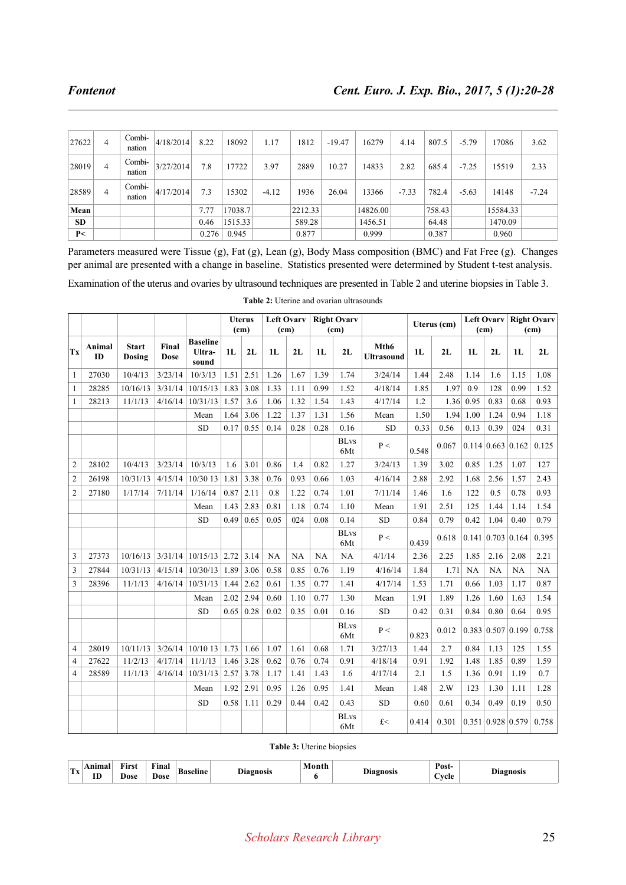| 27622     | 4 | Combi-<br>nation | 4/18/2014 | 8.22  | 18092   | 1.17    | 1812    | $-19.47$ | 16279    | 4.14    | 807.5  | $-5.79$ | 17086    | 3.62    |
|-----------|---|------------------|-----------|-------|---------|---------|---------|----------|----------|---------|--------|---------|----------|---------|
| 28019     | 4 | Combi-<br>nation | 3/27/2014 | 7.8   | 17722   | 3.97    | 2889    | 10.27    | 14833    | 2.82    | 685.4  | $-7.25$ | 15519    | 2.33    |
| 28589     | 4 | Combi-<br>nation | 4/17/2014 | 7.3   | 5302    | $-4.12$ | 1936    | 26.04    | 13366    | $-7.33$ | 782.4  | $-5.63$ | 14148    | $-7.24$ |
| Mean      |   |                  |           | 7.77  | 17038.7 |         | 2212.33 |          | 14826.00 |         | 758.43 |         | 15584.33 |         |
| <b>SD</b> |   |                  |           | 0.46  | 1515.33 |         | 589.28  |          | 1456.51  |         | 64.48  |         | 1470.09  |         |
| P<        |   |                  |           | 0.276 | 0.945   |         | 0.877   |          | 0.999    |         | 0.387  |         | 0.960    |         |

Parameters measured were Tissue (g), Fat (g), Lean (g), Body Mass composition (BMC) and Fat Free (g). Changes per animal are presented with a change in baseline. Statistics presented were determined by Student t-test analysis.

Examination of the uterus and ovaries by ultrasound techniques are presented in Table 2 and uterine biopsies in Table 3.

|                |              |                        |                      |                                    |      | <b>Uterus</b> |      | <b>Left Ovary</b> |      | <b>Right Ovary</b> |                           | Uterus (cm) |                                          | Left Ovary |                               | <b>Right Ovary</b> |       |
|----------------|--------------|------------------------|----------------------|------------------------------------|------|---------------|------|-------------------|------|--------------------|---------------------------|-------------|------------------------------------------|------------|-------------------------------|--------------------|-------|
|                |              |                        |                      |                                    |      | (cm)          |      | (cm)              |      | (cm)               |                           |             |                                          | (cm)       |                               | (cm)               |       |
| Tx             | Animal<br>ID | <b>Start</b><br>Dosing | Final<br><b>Dose</b> | <b>Baseline</b><br>Ultra-<br>sound | 1L   | 2L            | 1L   | 2L                | 1L   | 2L                 | Mth6<br><b>Ultrasound</b> | 1L          | 2L                                       | 1L         | 2L                            | 1L                 | 2L    |
| $\mathbf{1}$   | 27030        | 10/4/13                | 3/23/14              | 10/3/13                            | 1.51 | 2.51          | 1.26 | 1.67              | 1.39 | 1.74               | 3/24/14                   | 1.44        | 2.48                                     | 1.14       | 1.6                           | 1.15               | 1.08  |
| $\mathbf{1}$   | 28285        | 10/16/13               | 3/31/14              | $10/15/13$ 1.83                    |      | 3.08          | 1.33 | 1.11              | 0.99 | 1.52               | 4/18/14                   | 1.85        | 1.97                                     | 0.9        | 128                           | 0.99               | 1.52  |
| $\mathbf{1}$   | 28213        | 11/1/13                | 4/16/14              | 10/31/13                           | 1.57 | 3.6           | 1.06 | 1.32              | 1.54 | 1.43               | 4/17/14                   | 1.2         | 1.36                                     | 0.95       | 0.83                          | 0.68               | 0.93  |
|                |              |                        |                      | Mean                               | 1.64 | 3.06          | 1.22 | 1.37              | 1.31 | 1.56               | Mean                      | 1.50        | 1.94                                     | 1.00       | 1.24                          | 0.94               | 1.18  |
|                |              |                        |                      | ${\rm SD}$                         | 0.17 | 0.55          | 0.14 | 0.28              | 0.28 | 0.16               | <b>SD</b>                 | 0.33        | 0.56                                     | 0.13       | 0.39                          | 024                | 0.31  |
|                |              |                        |                      |                                    |      |               |      |                   |      | <b>BLvs</b><br>6Mt | P<                        | 0.548       | 0.067                                    |            | $0.114 \mid 0.663 \mid 0.162$ |                    | 0.125 |
| $\overline{2}$ | 28102        | 10/4/13                | 3/23/14              | 10/3/13                            | 1.6  | 3.01          | 0.86 | 1.4               | 0.82 | 1.27               | 3/24/13                   | 1.39        | 3.02                                     | 0.85       | 1.25                          | 1.07               | 127   |
| $\overline{2}$ | 26198        | 10/31/13               | 4/15/14              | 10/30 13                           | 1.81 | 3.38          | 0.76 | 0.93              | 0.66 | 1.03               | 4/16/14                   | 2.88        | 2.92                                     | 1.68       | 2.56                          | 1.57               | 2.43  |
| $\overline{2}$ | 27180        | 1/17/14                | 7/11/14              | 1/16/14                            | 0.87 | 2.11          | 0.8  | 1.22              | 0.74 | 1.01               | 7/11/14                   | 1.46        | 1.6                                      | 122        | 0.5                           | 0.78               | 0.93  |
|                |              |                        |                      | Mean                               | 1.43 | 2.83          | 0.81 | 1.18              | 0.74 | 1.10               | Mean                      | 1.91        | 2.51                                     | 125        | 1.44                          | 1.14               | 1.54  |
|                |              |                        |                      | <b>SD</b>                          | 0.49 | 0.65          | 0.05 | 024               | 0.08 | 0.14               | <b>SD</b>                 | 0.84        | 0.79                                     | 0.42       | 1.04                          | 0.40               | 0.79  |
|                |              |                        |                      |                                    |      |               |      |                   |      | <b>BLvs</b><br>6Mt | P<                        | 0.439       | 0.618                                    |            | $0.141 \mid 0.703 \mid 0.164$ |                    | 0.395 |
| 3              | 27373        | 10/16/13               | 3/31/14              | $10/15/13$ 2.72                    |      | 3.14          | NA   | NA                | NA   | NA                 | 4/1/14                    | 2.36        | 2.25                                     | 1.85       | 2.16                          | 2.08               | 2.21  |
| 3              | 27844        | 10/31/13               | 4/15/14              | 10/30/13                           | 1.89 | 3.06          | 0.58 | 0.85              | 0.76 | 1.19               | 4/16/14                   | 1.84        | 1.71                                     | <b>NA</b>  | NA                            | NA                 | NA    |
| 3              | 28396        | 11/1/13                | 4/16/14              | $10/31/13$ 1.44                    |      | 2.62          | 0.61 | 1.35              | 0.77 | 1.41               | 4/17/14                   | 1.53        | 1.71                                     | 0.66       | 1.03                          | 1.17               | 0.87  |
|                |              |                        |                      | Mean                               | 2.02 | 2.94          | 0.60 | 1.10              | 0.77 | 1.30               | Mean                      | 1.91        | 1.89                                     | 1.26       | 1.60                          | 1.63               | 1.54  |
|                |              |                        |                      | <b>SD</b>                          | 0.65 | 0.28          | 0.02 | 0.35              | 0.01 | 0.16               | <b>SD</b>                 | 0.42        | 0.31                                     | 0.84       | 0.80                          | 0.64               | 0.95  |
|                |              |                        |                      |                                    |      |               |      |                   |      | <b>BLvs</b><br>6Mt | P <                       | 0.823       | 0.012                                    |            | $0.383 \mid 0.507 \mid 0.199$ |                    | 0.758 |
| $\overline{4}$ | 28019        | 10/11/13               | 3/26/14              | $10/10$ 13   1.73                  |      | 1.66          | 1.07 | 1.61              | 0.68 | 1.71               | 3/27/13                   | 1.44        | 2.7                                      | 0.84       | 1.13                          | 125                | 1.55  |
| 4              | 27622        | 11/2/13                | 4/17/14              | 11/1/13                            | 1.46 | 3.28          | 0.62 | 0.76              | 0.74 | 0.91               | 4/18/14                   | 0.91        | 1.92                                     | 1.48       | 1.85                          | 0.89               | 1.59  |
| $\overline{4}$ | 28589        | 11/1/13                | 4/16/14              | $10/31/13$ 2.57                    |      | 3.78          | 1.17 | 1.41              | 1.43 | 1.6                | 4/17/14                   | 2.1         | 1.5                                      | 1.36       | 0.91                          | 1.19               | 0.7   |
|                |              |                        |                      | Mean                               | 1.92 | 2.91          | 0.95 | 1.26              | 0.95 | 1.41               | Mean                      | 1.48        | 2.W                                      | 123        | 1.30                          | 1.11               | 1.28  |
|                |              |                        |                      | <b>SD</b>                          | 0.58 | 1.11          | 0.29 | 0.44              | 0.42 | 0.43               | <b>SD</b>                 | 0.60        | 0.61                                     | 0.34       | 0.49                          | 0.19               | 0.50  |
|                |              |                        |                      |                                    |      |               |      |                   |      | <b>BLvs</b><br>6Mt | $f$ <                     | 0.414       | $0.301 \mid 0.351 \mid 0.928 \mid 0.579$ |            |                               |                    | 0.758 |

**Table 2:** Uterine and ovarian ultrasounds

**Table 3:** Uterine biopsies

| in the contract of the con-<br>. . | ----<br>ID | $\sim$<br>'Irst<br>the contract of the contract of the<br>Jose<br>. | $\sim$<br>Final<br>Jose<br>. | Ba<br>$-$ | <b>The State State</b><br>Diagnosis |  | Hiaonosia | Post<br>`vcle<br>- - | Diagnosis |
|------------------------------------|------------|---------------------------------------------------------------------|------------------------------|-----------|-------------------------------------|--|-----------|----------------------|-----------|
|------------------------------------|------------|---------------------------------------------------------------------|------------------------------|-----------|-------------------------------------|--|-----------|----------------------|-----------|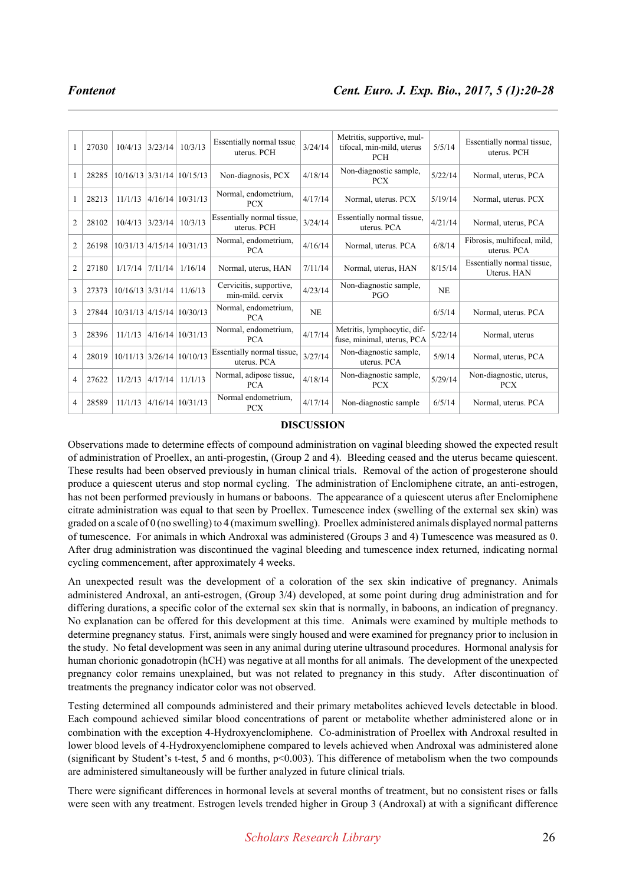| 1                        | 27030 | 10/4/13            | 3/23/14 | 10/3/13                     | Essentially normal tssue<br>uterus. PCH     | 3/24/14   | Metritis, supportive, mul-<br>tifocal, min-mild, uterus<br><b>PCH</b> | 5/5/14    | Essentially normal tissue,<br>uterus. PCH  |
|--------------------------|-------|--------------------|---------|-----------------------------|---------------------------------------------|-----------|-----------------------------------------------------------------------|-----------|--------------------------------------------|
| 1                        | 28285 |                    |         | $10/16/13$ 3/31/14 10/15/13 | Non-diagnosis, PCX                          | 4/18/14   | Non-diagnostic sample,<br><b>PCX</b>                                  | 5/22/14   | Normal, uterus, PCA                        |
|                          | 28213 | 11/1/13            |         | $4/16/14$ 10/31/13          | Normal, endometrium,<br><b>PCX</b>          | 4/17/14   | Normal, uterus. PCX                                                   | 5/19/14   | Normal, uterus. PCX                        |
| $\overline{2}$           | 28102 | 10/4/13            | 3/23/14 | 10/3/13                     | Essentially normal tissue,<br>uterus. PCH   | 3/24/14   | Essentially normal tissue,<br>uterus. PCA                             | 4/21/14   | Normal, uterus, PCA                        |
| $\overline{2}$           | 26198 |                    |         | $10/31/13$ 4/15/14 10/31/13 | Normal, endometrium,<br><b>PCA</b>          | 4/16/14   | Normal, uterus. PCA                                                   | 6/8/14    | Fibrosis, multifocal, mild,<br>uterus. PCA |
| $\overline{2}$           | 27180 | 1/17/14            | 7/11/14 | 1/16/14                     | Normal, uterus, HAN                         | 7/11/14   | Normal, uterus, HAN                                                   | 8/15/14   | Essentially normal tissue,<br>Uterus. HAN  |
| 3                        | 27373 | $10/16/13$ 3/31/14 |         | 11/6/13                     | Cervicitis, supportive,<br>min-mild. cervix | 4/23/14   | Non-diagnostic sample,<br>PGO                                         | <b>NE</b> |                                            |
| 3                        | 27844 |                    |         | 10/31/13 4/15/14 10/30/13   | Normal, endometrium,<br><b>PCA</b>          | <b>NE</b> |                                                                       | 6/5/14    | Normal, uterus. PCA                        |
| 3                        | 28396 | 11/1/13            |         | $4/16/14$ 10/31/13          | Normal, endometrium,<br><b>PCA</b>          | 4/17/14   | Metritis, lymphocytic, dif-<br>fuse, minimal, uterus, PCA             | 5/22/14   | Normal, uterus                             |
| $\overline{4}$           | 28019 |                    |         | $10/11/13$ 3/26/14 10/10/13 | Essentially normal tissue,<br>uterus. PCA   | 3/27/14   | Non-diagnostic sample,<br>uterus. PCA                                 | 5/9/14    | Normal, uterus, PCA                        |
| $\overline{\mathcal{L}}$ | 27622 | 11/2/13            | 4/17/14 | 11/1/13                     | Normal, adipose tissue,<br><b>PCA</b>       | 4/18/14   | Non-diagnostic sample,<br><b>PCX</b>                                  | 5/29/14   | Non-diagnostic, uterus,<br><b>PCX</b>      |
| $\overline{4}$           | 28589 | 11/1/13            |         | $4/16/14$ 10/31/13          | Normal endometrium.<br><b>PCX</b>           | 4/17/14   | Non-diagnostic sample                                                 | 6/5/14    | Normal, uterus. PCA                        |

### **DISCUSSION**

Observations made to determine effects of compound administration on vaginal bleeding showed the expected result of administration of Proellex, an anti-progestin, (Group 2 and 4). Bleeding ceased and the uterus became quiescent. These results had been observed previously in human clinical trials. Removal of the action of progesterone should produce a quiescent uterus and stop normal cycling. The administration of Enclomiphene citrate, an anti-estrogen, has not been performed previously in humans or baboons. The appearance of a quiescent uterus after Enclomiphene citrate administration was equal to that seen by Proellex. Tumescence index (swelling of the external sex skin) was graded on a scale of 0 (no swelling) to 4 (maximum swelling). Proellex administered animals displayed normal patterns of tumescence. For animals in which Androxal was administered (Groups 3 and 4) Tumescence was measured as 0. After drug administration was discontinued the vaginal bleeding and tumescence index returned, indicating normal cycling commencement, after approximately 4 weeks.

An unexpected result was the development of a coloration of the sex skin indicative of pregnancy. Animals administered Androxal, an anti-estrogen, (Group 3/4) developed, at some point during drug administration and for differing durations, a specific color of the external sex skin that is normally, in baboons, an indication of pregnancy. No explanation can be offered for this development at this time. Animals were examined by multiple methods to determine pregnancy status. First, animals were singly housed and were examined for pregnancy prior to inclusion in the study. No fetal development was seen in any animal during uterine ultrasound procedures. Hormonal analysis for human chorionic gonadotropin (hCH) was negative at all months for all animals. The development of the unexpected pregnancy color remains unexplained, but was not related to pregnancy in this study. After discontinuation of treatments the pregnancy indicator color was not observed.

Testing determined all compounds administered and their primary metabolites achieved levels detectable in blood. Each compound achieved similar blood concentrations of parent or metabolite whether administered alone or in combination with the exception 4-Hydroxyenclomiphene. Co-administration of Proellex with Androxal resulted in lower blood levels of 4-Hydroxyenclomiphene compared to levels achieved when Androxal was administered alone (significant by Student's t-test, 5 and 6 months, p<0.003). This difference of metabolism when the two compounds are administered simultaneously will be further analyzed in future clinical trials.

There were significant differences in hormonal levels at several months of treatment, but no consistent rises or falls were seen with any treatment. Estrogen levels trended higher in Group 3 (Androxal) at with a significant difference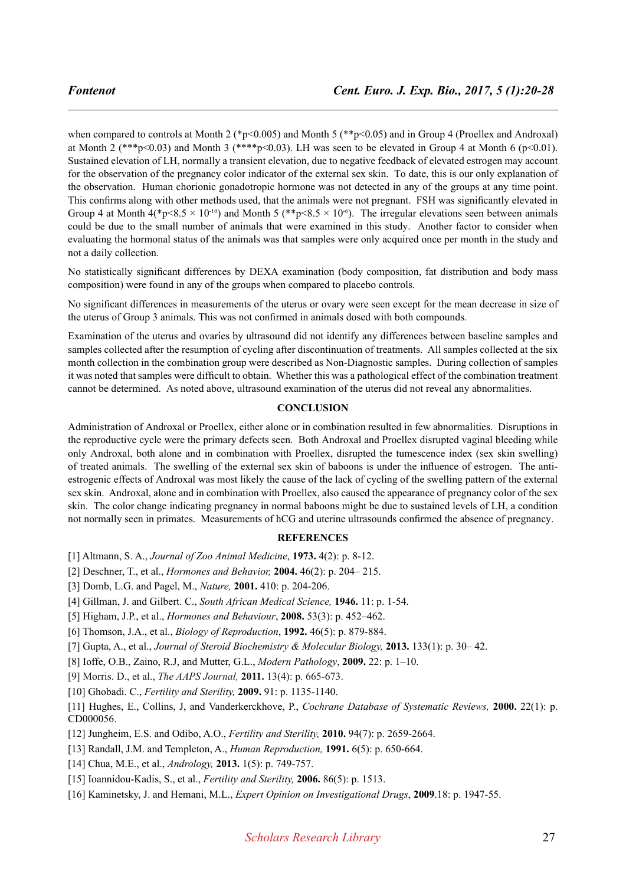when compared to controls at Month 2 (\*p<0.005) and Month 5 (\*\*p<0.05) and in Group 4 (Proellex and Androxal) at Month 2 (\*\*\*p<0.03) and Month 3 (\*\*\*\*p<0.03). LH was seen to be elevated in Group 4 at Month 6 (p<0.01). Sustained elevation of LH, normally a transient elevation, due to negative feedback of elevated estrogen may account for the observation of the pregnancy color indicator of the external sex skin. To date, this is our only explanation of the observation. Human chorionic gonadotropic hormone was not detected in any of the groups at any time point. This confirms along with other methods used, that the animals were not pregnant. FSH was significantly elevated in Group 4 at Month  $4$ (\*p<8.5 × 10<sup>-10</sup>) and Month 5 (\*\*p<8.5 × 10<sup>-6</sup>). The irregular elevations seen between animals could be due to the small number of animals that were examined in this study. Another factor to consider when evaluating the hormonal status of the animals was that samples were only acquired once per month in the study and not a daily collection.

No statistically significant differences by DEXA examination (body composition, fat distribution and body mass composition) were found in any of the groups when compared to placebo controls.

No significant differences in measurements of the uterus or ovary were seen except for the mean decrease in size of the uterus of Group 3 animals. This was not confirmed in animals dosed with both compounds.

Examination of the uterus and ovaries by ultrasound did not identify any differences between baseline samples and samples collected after the resumption of cycling after discontinuation of treatments. All samples collected at the six month collection in the combination group were described as Non-Diagnostic samples. During collection of samples it was noted that samples were difficult to obtain. Whether this was a pathological effect of the combination treatment cannot be determined. As noted above, ultrasound examination of the uterus did not reveal any abnormalities.

# **CONCLUSION**

Administration of Androxal or Proellex, either alone or in combination resulted in few abnormalities. Disruptions in the reproductive cycle were the primary defects seen. Both Androxal and Proellex disrupted vaginal bleeding while only Androxal, both alone and in combination with Proellex, disrupted the tumescence index (sex skin swelling) of treated animals. The swelling of the external sex skin of baboons is under the influence of estrogen. The antiestrogenic effects of Androxal was most likely the cause of the lack of cycling of the swelling pattern of the external sex skin. Androxal, alone and in combination with Proellex, also caused the appearance of pregnancy color of the sex skin. The color change indicating pregnancy in normal baboons might be due to sustained levels of LH, a condition not normally seen in primates. Measurements of hCG and uterine ultrasounds confirmed the absence of pregnancy.

#### **REFERENCES**

- [1] Altmann, S. A., *Journal of Zoo Animal Medicine*, **1973.** 4(2): p. 8-12.
- [2] Deschner, T., et al., *Hormones and Behavior,* **2004.** 46(2): p. 204– 215.
- [3] Domb, L.G. and Pagel, M., *Nature,* **2001.** 410: p. 204-206.
- [4] Gillman, J. and Gilbert. C., *South African Medical Science,* **1946.** 11: p. 1-54.
- [5] Higham, J.P., et al., *Hormones and Behaviour*, **2008.** 53(3): p. 452–462.
- [6] Thomson, J.A., et al., *Biology of Reproduction*, **1992.** 46(5): p. 879-884.

[7] Gupta, A., et al., *Journal of Steroid Biochemistry & Molecular Biology,* **2013.** 133(1): p. 30– 42.

[8] Ioffe, O.B., Zaino, R.J, and Mutter, G.L., *Modern Pathology*, **2009.** 22: p. 1–10.

[9] Morris. D., et al., *The AAPS Journal,* **2011.** 13(4): p. 665-673.

[10] Ghobadi. C., *Fertility and Sterility,* **2009.** 91: p. 1135-1140.

[11] Hughes, E., Collins, J, and Vanderkerckhove, P., *Cochrane Database of Systematic Reviews,* **2000.** 22(1): p. CD000056.

- [12] Jungheim, E.S. and Odibo, A.O., *Fertility and Sterility,* **2010.** 94(7): p. 2659-2664.
- [13] Randall, J.M. and Templeton, A., *Human Reproduction,* **1991.** 6(5): p. 650-664.
- [14] Chua, M.E., et al., *Andrology,* **2013.** 1(5): p. 749-757.
- [15] Ioannidou-Kadis, S., et al., *Fertility and Sterility,* **2006.** 86(5): p. 1513.
- [16] Kaminetsky, J. and Hemani, M.L., *Expert Opinion on Investigational Drugs*, **2009**.18: p. 1947-55.